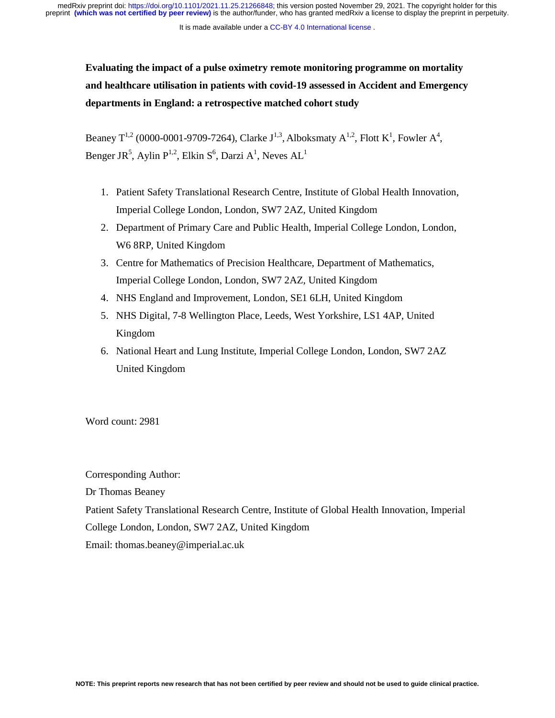It is made available under a [CC-BY 4.0 International license](http://creativecommons.org/licenses/by/4.0/) .

**Evaluating the impact of a pulse oximetry remote monitoring programme on mortality and healthcare utilisation in patients with covid-19 assessed in Accident and Emergency departments in England: a retrospective matched cohort study** 

Beaney  $T^{1,2}$  (0000-0001-9709-7264), Clarke  $J^{1,3}$ , Alboksmaty  $A^{1,2}$ , Flott  $K^1$ , Fowler  $A^4$ , Benger JR<sup>5</sup>, Aylin P<sup>1,2</sup>, Elkin S<sup>6</sup>, Darzi A<sup>1</sup>, Neves AL<sup>1</sup>

- 1. Patient Safety Translational Research Centre, Institute of Global Health Innovation, Imperial College London, London, SW7 2AZ, United Kingdom
- 2. Department of Primary Care and Public Health, Imperial College London, London, W6 8RP, United Kingdom
- 3. Centre for Mathematics of Precision Healthcare, Department of Mathematics, Imperial College London, London, SW7 2AZ, United Kingdom
- 4. NHS England and Improvement, London, SE1 6LH, United Kingdom
- 5. NHS Digital, 7-8 Wellington Place, Leeds, West Yorkshire, LS1 4AP, United Kingdom
- 6. National Heart and Lung Institute, Imperial College London, London, SW7 2AZ United Kingdom

Word count: 2981

Corresponding Author:

Dr Thomas Beaney

Patient Safety Translational Research Centre, Institute of Global Health Innovation, Imperial

College London, London, SW7 2AZ, United Kingdom

Email: thomas.beaney@imperial.ac.uk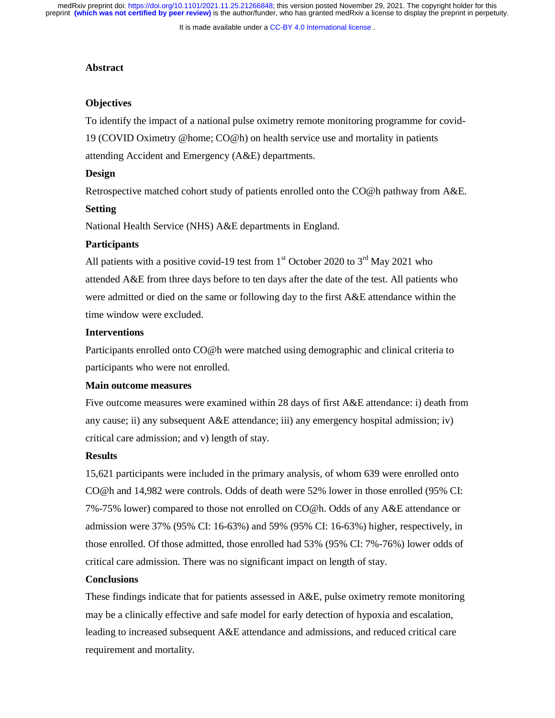It is made available under a [CC-BY 4.0 International license](http://creativecommons.org/licenses/by/4.0/) .

## **Abstract**

### **Objectives**

To identify the impact of a national pulse oximetry remote monitoring programme for covid-

19 (COVID Oximetry @home; CO@h) on health service use and mortality in patients attending Accident and Emergency (A&E) departments.

## **Design**

Retrospective matched cohort study of patients enrolled onto the CO@h pathway from A&E.

## **Setting**

National Health Service (NHS) A&E departments in England.

### **Participants**

All patients with a positive covid-19 test from  $1<sup>st</sup>$  October 2020 to  $3<sup>rd</sup>$  May 2021 who attended A&E from three days before to ten days after the date of the test. All patients who were admitted or died on the same or following day to the first A&E attendance within the time window were excluded.

### **Interventions**

Participants enrolled onto CO@h were matched using demographic and clinical criteria to participants who were not enrolled.

#### **Main outcome measures**

Five outcome measures were examined within 28 days of first A&E attendance: i) death from any cause; ii) any subsequent A&E attendance; iii) any emergency hospital admission; iv) critical care admission; and v) length of stay.

#### **Results**

15,621 participants were included in the primary analysis, of whom 639 were enrolled onto CO@h and 14,982 were controls. Odds of death were 52% lower in those enrolled (95% CI: 7%-75% lower) compared to those not enrolled on CO@h. Odds of any A&E attendance or admission were 37% (95% CI: 16-63%) and 59% (95% CI: 16-63%) higher, respectively, in those enrolled. Of those admitted, those enrolled had 53% (95% CI: 7%-76%) lower odds of critical care admission. There was no significant impact on length of stay.

#### **Conclusions**

These findings indicate that for patients assessed in A&E, pulse oximetry remote monitoring may be a clinically effective and safe model for early detection of hypoxia and escalation, leading to increased subsequent A&E attendance and admissions, and reduced critical care requirement and mortality.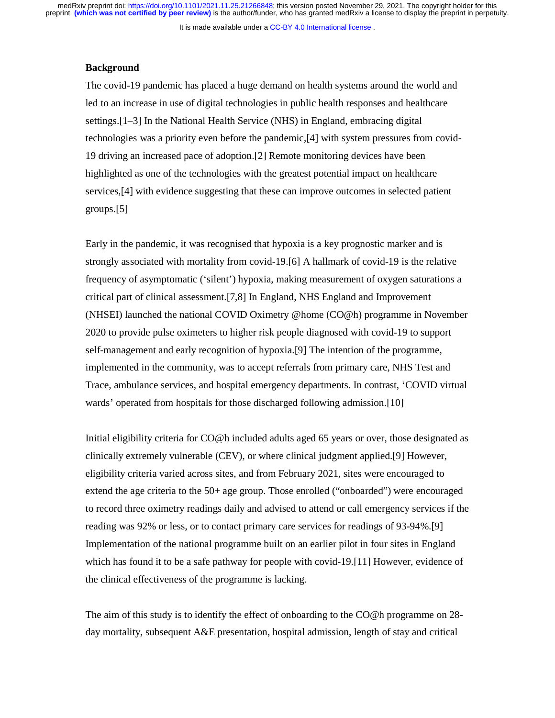It is made available under a [CC-BY 4.0 International license](http://creativecommons.org/licenses/by/4.0/) .

#### **Background**

The covid-19 pandemic has placed a huge demand on health systems around the world and led to an increase in use of digital technologies in public health responses and healthcare settings.[1–3] In the National Health Service (NHS) in England, embracing digital technologies was a priority even before the pandemic,[4] with system pressures from covid-19 driving an increased pace of adoption.[2] Remote monitoring devices have been highlighted as one of the technologies with the greatest potential impact on healthcare services,[4] with evidence suggesting that these can improve outcomes in selected patient groups.[5]

Early in the pandemic, it was recognised that hypoxia is a key prognostic marker and is strongly associated with mortality from covid-19.[6] A hallmark of covid-19 is the relative frequency of asymptomatic ('silent') hypoxia, making measurement of oxygen saturations a critical part of clinical assessment.[7,8] In England, NHS England and Improvement (NHSEI) launched the national COVID Oximetry @home (CO@h) programme in November 2020 to provide pulse oximeters to higher risk people diagnosed with covid-19 to support self-management and early recognition of hypoxia.[9] The intention of the programme, implemented in the community, was to accept referrals from primary care, NHS Test and Trace, ambulance services, and hospital emergency departments. In contrast, 'COVID virtual wards' operated from hospitals for those discharged following admission.[10]

Initial eligibility criteria for CO@h included adults aged 65 years or over, those designated as clinically extremely vulnerable (CEV), or where clinical judgment applied.[9] However, eligibility criteria varied across sites, and from February 2021, sites were encouraged to extend the age criteria to the 50+ age group. Those enrolled ("onboarded") were encouraged to record three oximetry readings daily and advised to attend or call emergency services if the reading was 92% or less, or to contact primary care services for readings of 93-94%.[9] Implementation of the national programme built on an earlier pilot in four sites in England which has found it to be a safe pathway for people with covid-19.[11] However, evidence of the clinical effectiveness of the programme is lacking.

The aim of this study is to identify the effect of onboarding to the CO@h programme on 28 day mortality, subsequent A&E presentation, hospital admission, length of stay and critical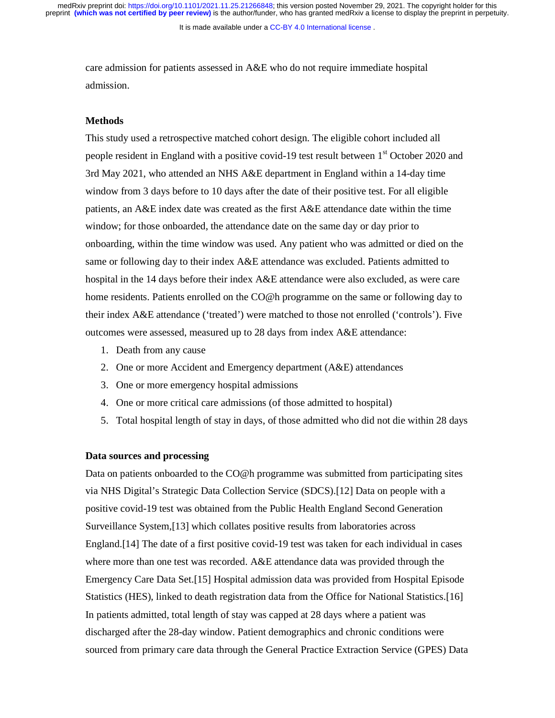It is made available under a CC-BY 4.0 International license.

care admission for patients assessed in A&E who do not require immediate hospital admission.

## **Methods**

This study used a retrospective matched cohort design. The eligible cohort included all people resident in England with a positive covid-19 test result between 1st October 2020 and 3rd May 2021, who attended an NHS A&E department in England within a 14-day time window from 3 days before to 10 days after the date of their positive test. For all eligible patients, an A&E index date was created as the first A&E attendance date within the time window; for those onboarded, the attendance date on the same day or day prior to onboarding, within the time window was used. Any patient who was admitted or died on the same or following day to their index A&E attendance was excluded. Patients admitted to hospital in the 14 days before their index A&E attendance were also excluded, as were care home residents. Patients enrolled on the CO@h programme on the same or following day to their index A&E attendance ('treated') were matched to those not enrolled ('controls'). Five outcomes were assessed, measured up to 28 days from index A&E attendance:

- 1. Death from any cause
- 2. One or more Accident and Emergency department (A&E) attendances
- 3. One or more emergency hospital admissions
- 4. One or more critical care admissions (of those admitted to hospital)
- 5. Total hospital length of stay in days, of those admitted who did not die within 28 days

#### **Data sources and processing**

Data on patients onboarded to the CO@h programme was submitted from participating sites via NHS Digital's Strategic Data Collection Service (SDCS).[12] Data on people with a positive covid-19 test was obtained from the Public Health England Second Generation Surveillance System,[13] which collates positive results from laboratories across England.[14] The date of a first positive covid-19 test was taken for each individual in cases where more than one test was recorded. A&E attendance data was provided through the Emergency Care Data Set.[15] Hospital admission data was provided from Hospital Episode Statistics (HES), linked to death registration data from the Office for National Statistics.[16] In patients admitted, total length of stay was capped at 28 days where a patient was discharged after the 28-day window. Patient demographics and chronic conditions were sourced from primary care data through the General Practice Extraction Service (GPES) Data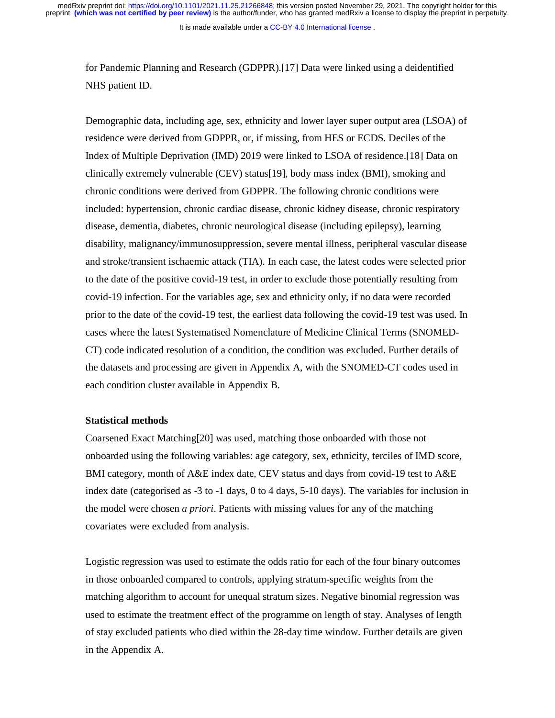It is made available under a [CC-BY 4.0 International license](http://creativecommons.org/licenses/by/4.0/) .

for Pandemic Planning and Research (GDPPR).[17] Data were linked using a deidentified NHS patient ID.

Demographic data, including age, sex, ethnicity and lower layer super output area (LSOA) of residence were derived from GDPPR, or, if missing, from HES or ECDS. Deciles of the Index of Multiple Deprivation (IMD) 2019 were linked to LSOA of residence.[18] Data on clinically extremely vulnerable (CEV) status[19], body mass index (BMI), smoking and chronic conditions were derived from GDPPR. The following chronic conditions were included: hypertension, chronic cardiac disease, chronic kidney disease, chronic respiratory disease, dementia, diabetes, chronic neurological disease (including epilepsy), learning disability, malignancy/immunosuppression, severe mental illness, peripheral vascular disease and stroke/transient ischaemic attack (TIA). In each case, the latest codes were selected prior to the date of the positive covid-19 test, in order to exclude those potentially resulting from covid-19 infection. For the variables age, sex and ethnicity only, if no data were recorded prior to the date of the covid-19 test, the earliest data following the covid-19 test was used. In cases where the latest Systematised Nomenclature of Medicine Clinical Terms (SNOMED-CT) code indicated resolution of a condition, the condition was excluded. Further details of the datasets and processing are given in Appendix A, with the SNOMED-CT codes used in each condition cluster available in Appendix B.

#### **Statistical methods**

Coarsened Exact Matching[20] was used, matching those onboarded with those not onboarded using the following variables: age category, sex, ethnicity, terciles of IMD score, BMI category, month of A&E index date, CEV status and days from covid-19 test to A&E index date (categorised as -3 to -1 days, 0 to 4 days, 5-10 days). The variables for inclusion in the model were chosen *a priori*. Patients with missing values for any of the matching covariates were excluded from analysis.

Logistic regression was used to estimate the odds ratio for each of the four binary outcomes in those onboarded compared to controls, applying stratum-specific weights from the matching algorithm to account for unequal stratum sizes. Negative binomial regression was used to estimate the treatment effect of the programme on length of stay. Analyses of length of stay excluded patients who died within the 28-day time window. Further details are given in the Appendix A.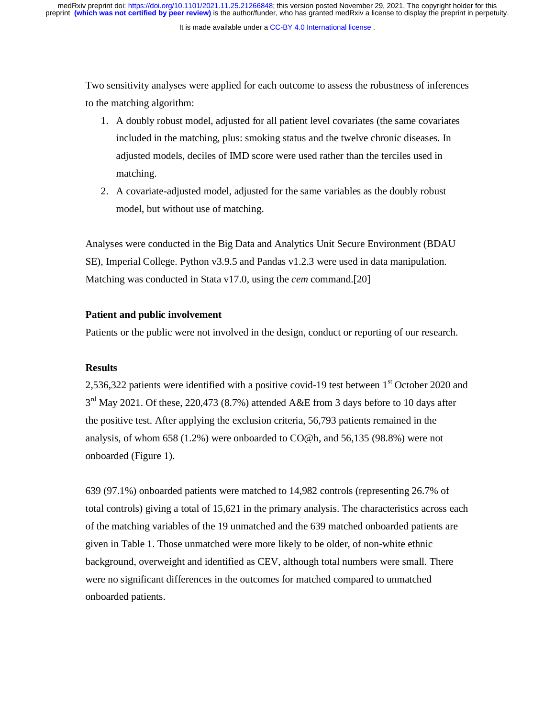It is made available under a [CC-BY 4.0 International license](http://creativecommons.org/licenses/by/4.0/) .

Two sensitivity analyses were applied for each outcome to assess the robustness of inferences to the matching algorithm:

- 1. A doubly robust model, adjusted for all patient level covariates (the same covariates included in the matching, plus: smoking status and the twelve chronic diseases. In adjusted models, deciles of IMD score were used rather than the terciles used in matching.
- 2. A covariate-adjusted model, adjusted for the same variables as the doubly robust model, but without use of matching.

Analyses were conducted in the Big Data and Analytics Unit Secure Environment (BDAU SE), Imperial College. Python v3.9.5 and Pandas v1.2.3 were used in data manipulation. Matching was conducted in Stata v17.0, using the *cem* command.[20]

## **Patient and public involvement**

Patients or the public were not involved in the design, conduct or reporting of our research.

#### **Results**

2,536,322 patients were identified with a positive covid-19 test between  $1<sup>st</sup>$  October 2020 and 3<sup>rd</sup> Mav 2021. Of these, 220,473 (8.7%) attended A&E from 3 days before to 10 days after the positive test. After applying the exclusion criteria, 56,793 patients remained in the analysis, of whom 658 (1.2%) were onboarded to CO@h, and 56,135 (98.8%) were not onboarded (Figure 1).

639 (97.1%) onboarded patients were matched to 14,982 controls (representing 26.7% of total controls) giving a total of 15,621 in the primary analysis. The characteristics across each of the matching variables of the 19 unmatched and the 639 matched onboarded patients are given in Table 1. Those unmatched were more likely to be older, of non-white ethnic background, overweight and identified as CEV, although total numbers were small. There were no significant differences in the outcomes for matched compared to unmatched onboarded patients.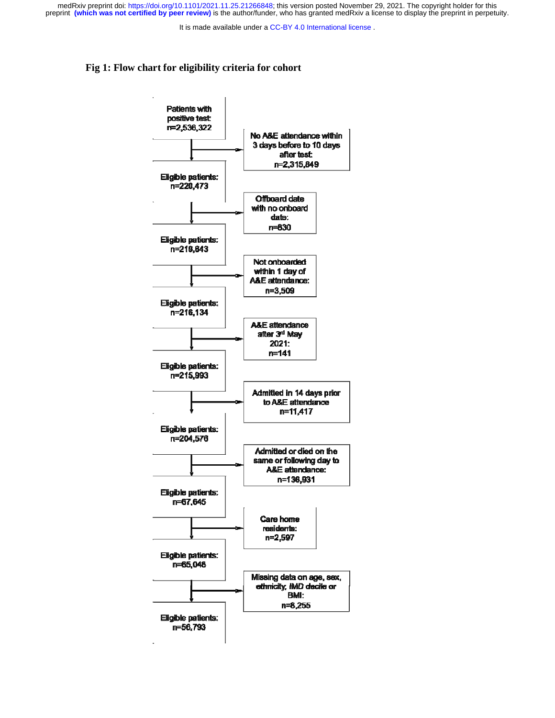It is made available under a CC-BY 4.0 International license.

## **Fig 1: Flow chart for eligibility criteria for cohort**

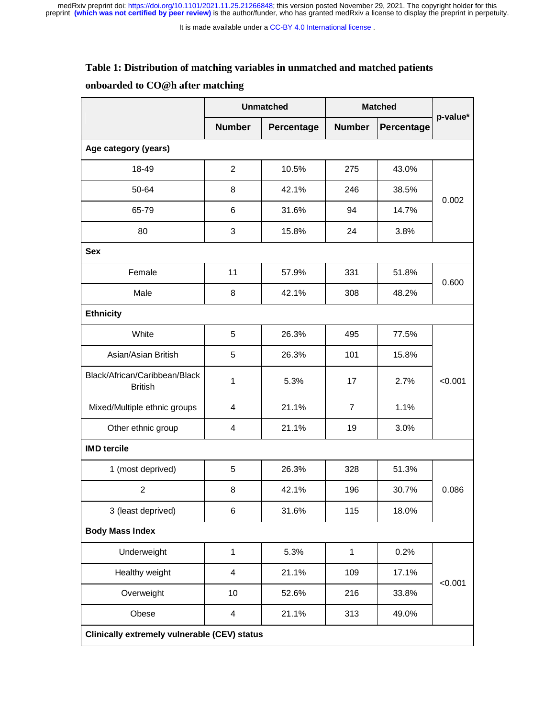It is made available under a [CC-BY 4.0 International license](http://creativecommons.org/licenses/by/4.0/) .

## **Table 1: Distribution of matching variables in unmatched and matched patients**

# **onboarded to CO@h after matching**

|                                                     | <b>Unmatched</b>        |                   | <b>Matched</b> | p-value*   |         |  |  |  |
|-----------------------------------------------------|-------------------------|-------------------|----------------|------------|---------|--|--|--|
|                                                     | <b>Number</b>           | <b>Percentage</b> | <b>Number</b>  | Percentage |         |  |  |  |
| Age category (years)                                |                         |                   |                |            |         |  |  |  |
| 18-49                                               | $\overline{2}$          | 10.5%             | 275            | 43.0%      |         |  |  |  |
| 50-64                                               | 8                       | 42.1%             | 246            | 38.5%      |         |  |  |  |
| 65-79                                               | 6                       | 31.6%             | 94             | 14.7%      | 0.002   |  |  |  |
| 80                                                  | 3                       | 15.8%             | 24             | 3.8%       |         |  |  |  |
| <b>Sex</b>                                          |                         |                   |                |            |         |  |  |  |
| Female                                              | 11                      | 57.9%             | 331            | 51.8%      | 0.600   |  |  |  |
| Male                                                | 8                       | 42.1%             | 308            | 48.2%      |         |  |  |  |
| <b>Ethnicity</b>                                    |                         |                   |                |            |         |  |  |  |
| White                                               | 5                       | 26.3%             | 495            | 77.5%      |         |  |  |  |
| Asian/Asian British                                 | 5                       | 26.3%             | 101            | 15.8%      |         |  |  |  |
| Black/African/Caribbean/Black<br><b>British</b>     | 1                       | 5.3%              | 17             | 2.7%       | < 0.001 |  |  |  |
| Mixed/Multiple ethnic groups                        | 4                       | 21.1%             | $\overline{7}$ | 1.1%       |         |  |  |  |
| Other ethnic group                                  | 4                       | 21.1%             | 19             | 3.0%       |         |  |  |  |
| <b>IMD tercile</b>                                  |                         |                   |                |            |         |  |  |  |
| 1 (most deprived)                                   | 5                       | 26.3%             | 328            | 51.3%      |         |  |  |  |
| $\overline{2}$                                      | 8                       | 42.1%             | 196            | 30.7%      | 0.086   |  |  |  |
| 3 (least deprived)                                  | 6                       | 31.6%             | 115            | 18.0%      |         |  |  |  |
| <b>Body Mass Index</b>                              |                         |                   |                |            |         |  |  |  |
| Underweight                                         | $\mathbf{1}$            | 5.3%              | 1              | 0.2%       |         |  |  |  |
| Healthy weight                                      | $\overline{\mathbf{4}}$ | 21.1%             | 109            | 17.1%      |         |  |  |  |
| Overweight                                          | 10                      | 52.6%             | 216            | 33.8%      | < 0.001 |  |  |  |
| Obese                                               | 4                       | 21.1%             | 313            | 49.0%      |         |  |  |  |
| <b>Clinically extremely vulnerable (CEV) status</b> |                         |                   |                |            |         |  |  |  |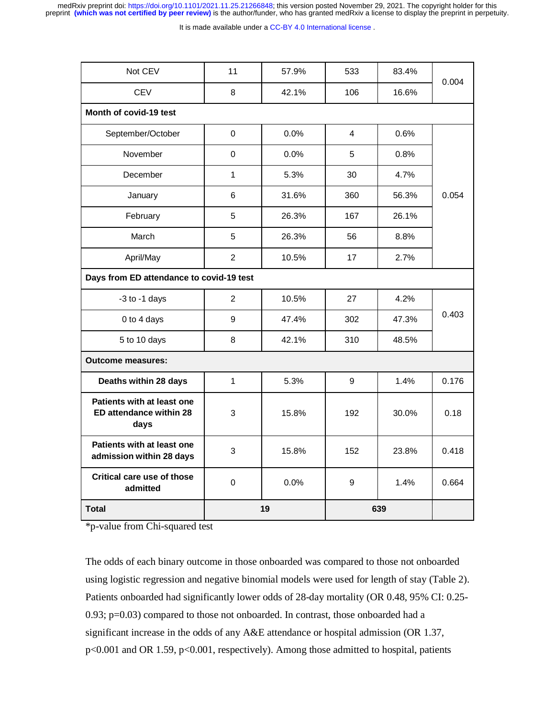It is made available under a CC-BY 4.0 International license.

| Not CEV                                                       | 11             | 57.9% | 533 | 83.4% | 0.004 |  |
|---------------------------------------------------------------|----------------|-------|-----|-------|-------|--|
| <b>CEV</b>                                                    | 8              | 42.1% | 106 | 16.6% |       |  |
| Month of covid-19 test                                        |                |       |     |       |       |  |
| September/October                                             | 0              | 0.0%  | 4   | 0.6%  |       |  |
| November                                                      | $\Omega$       | 0.0%  | 5   | 0.8%  |       |  |
| December                                                      | $\mathbf{1}$   | 5.3%  | 30  | 4.7%  |       |  |
| January                                                       | 6              | 31.6% | 360 | 56.3% | 0.054 |  |
| February                                                      | 5              | 26.3% | 167 | 26.1% |       |  |
| March                                                         | 5              | 26.3% | 56  | 8.8%  |       |  |
| April/May                                                     | $\overline{2}$ | 10.5% | 17  | 2.7%  |       |  |
| Days from ED attendance to covid-19 test                      |                |       |     |       |       |  |
| -3 to -1 days                                                 | $\overline{2}$ | 10.5% | 27  | 4.2%  |       |  |
| 0 to 4 days                                                   | 9              | 47.4% | 302 | 47.3% | 0.403 |  |
| 5 to 10 days                                                  | 8              | 42.1% | 310 | 48.5% |       |  |
| <b>Outcome measures:</b>                                      |                |       |     |       |       |  |
| Deaths within 28 days                                         | $\mathbf{1}$   | 5.3%  | 9   | 1.4%  | 0.176 |  |
| Patients with at least one<br>ED attendance within 28<br>days | 3              | 15.8% | 192 | 30.0% | 0.18  |  |
| Patients with at least one<br>admission within 28 days        | 3              | 15.8% | 152 | 23.8% | 0.418 |  |
| <b>Critical care use of those</b><br>admitted                 | $\mathbf 0$    | 0.0%  | 9   | 1.4%  | 0.664 |  |
| <b>Total</b>                                                  | 19             |       | 639 |       |       |  |

\*p-value from Chi-squared test

The odds of each binary outcome in those onboarded was compared to those not onboarded using logistic regression and negative binomial models were used for length of stay (Table 2). Patients onboarded had significantly lower odds of 28-day mortality (OR 0.48, 95% CI: 0.25- 0.93; p=0.03) compared to those not onboarded. In contrast, those onboarded had a significant increase in the odds of any A&E attendance or hospital admission (OR 1.37, p<0.001 and OR 1.59, p<0.001, respectively). Among those admitted to hospital, patients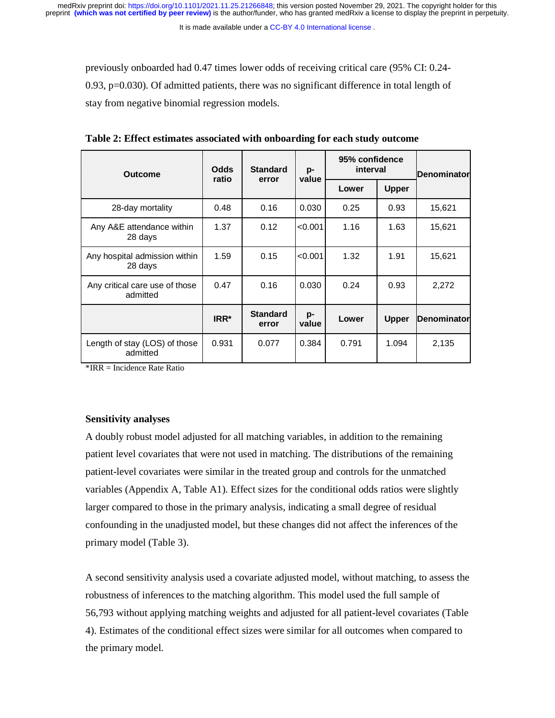It is made available under a CC-BY 4.0 International license.

previously onboarded had 0.47 times lower odds of receiving critical care (95% CI: 0.24- 0.93, p=0.030). Of admitted patients, there was no significant difference in total length of stay from negative binomial regression models.

| <b>Outcome</b>                             | <b>Odds</b><br>ratio | <b>Standard</b><br>error | p-<br>value | 95% confidence<br>interval |              | <b>Denominator</b> |
|--------------------------------------------|----------------------|--------------------------|-------------|----------------------------|--------------|--------------------|
|                                            |                      |                          |             | Lower                      | <b>Upper</b> |                    |
| 28-day mortality                           | 0.48                 | 0.16                     | 0.030       | 0.25                       | 0.93         | 15,621             |
| Any A&E attendance within<br>28 days       | 1.37                 | 0.12                     | < 0.001     | 1.16                       | 1.63         | 15,621             |
| Any hospital admission within<br>28 days   | 1.59                 | 0.15                     | < 0.001     | 1.32                       | 1.91         | 15,621             |
| Any critical care use of those<br>admitted | 0.47                 | 0.16                     | 0.030       | 0.24                       | 0.93         | 2,272              |
|                                            | $IRR*$               | <b>Standard</b><br>error | p-<br>value | Lower                      | <b>Upper</b> | <b>Denominator</b> |
| Length of stay (LOS) of those<br>admitted  | 0.931                | 0.077                    | 0.384       | 0.791                      | 1.094        | 2,135              |

**Table 2: Effect estimates associated with onboarding for each study outcome** 

\*IRR = Incidence Rate Ratio

## **Sensitivity analyses**

A doubly robust model adjusted for all matching variables, in addition to the remaining patient level covariates that were not used in matching. The distributions of the remaining patient-level covariates were similar in the treated group and controls for the unmatched variables (Appendix A, Table A1). Effect sizes for the conditional odds ratios were slightly larger compared to those in the primary analysis, indicating a small degree of residual confounding in the unadjusted model, but these changes did not affect the inferences of the primary model (Table 3).

A second sensitivity analysis used a covariate adjusted model, without matching, to assess the robustness of inferences to the matching algorithm. This model used the full sample of 56,793 without applying matching weights and adjusted for all patient-level covariates (Table 4). Estimates of the conditional effect sizes were similar for all outcomes when compared to the primary model.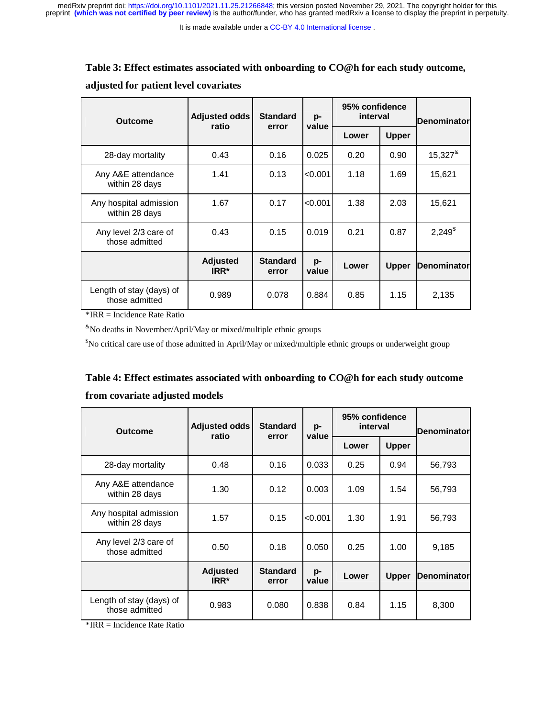It is made available under a CC-BY 4.0 International license.

# **Table 3: Effect estimates associated with onboarding to CO@h for each study outcome,**

|  |  |  |  | adjusted for patient level covariates |
|--|--|--|--|---------------------------------------|
|--|--|--|--|---------------------------------------|

| <b>Outcome</b>                             | <b>Adjusted odds</b><br>ratio | <b>Standard</b><br>error | p-<br>value | 95% confidence<br>interval |              | Denominator                        |
|--------------------------------------------|-------------------------------|--------------------------|-------------|----------------------------|--------------|------------------------------------|
|                                            |                               |                          |             | Lower                      | <b>Upper</b> |                                    |
| 28-day mortality                           | 0.43                          | 0.16                     | 0.025       | 0.20                       | 0.90         | $15.327$ <sup><math>*</math></sup> |
| Any A&E attendance<br>within 28 days       | 1.41                          | 0.13                     | < 0.001     | 1.18                       | 1.69         | 15,621                             |
| Any hospital admission<br>within 28 days   | 1.67                          | 0.17                     | < 0.001     | 1.38                       | 2.03         | 15,621                             |
| Any level 2/3 care of<br>those admitted    | 0.43                          | 0.15                     | 0.019       | 0.21                       | 0.87         | $2,249^{\$}$                       |
|                                            | <b>Adjusted</b><br>IRR*       | <b>Standard</b><br>error | p-<br>value | Lower                      | <b>Upper</b> | <b>Denominator</b>                 |
| Length of stay (days) of<br>those admitted | 0.989                         | 0.078                    | 0.884       | 0.85                       | 1.15         | 2,135                              |

\*IRR = Incidence Rate Ratio

&No deaths in November/April/May or mixed/multiple ethnic groups

\$ No critical care use of those admitted in April/May or mixed/multiple ethnic groups or underweight group

| Table 4: Effect estimates associated with onboarding to CO@h for each study outcome |
|-------------------------------------------------------------------------------------|
| from covariate adjusted models                                                      |

| <b>Outcome</b>                             | <b>Adjusted odds</b><br>ratio       | <b>Standard</b><br>error | p-<br>value | 95% confidence<br>interval |              | Denominator |
|--------------------------------------------|-------------------------------------|--------------------------|-------------|----------------------------|--------------|-------------|
|                                            |                                     |                          |             | Lower                      | <b>Upper</b> |             |
| 28-day mortality                           | 0.48                                | 0.16                     | 0.033       | 0.25                       | 0.94         | 56,793      |
| Any A&E attendance<br>within 28 days       | 1.30                                | 0.12                     | 0.003       | 1.09                       | 1.54         | 56,793      |
| Any hospital admission<br>within 28 days   | 1.57                                | 0.15                     | < 0.001     | 1.30                       | 1.91         | 56,793      |
| Any level 2/3 care of<br>those admitted    | 0.50                                | 0.18                     | 0.050       | 0.25                       | 1.00         | 9,185       |
|                                            | <b>Adjusted</b><br>IRR <sup>*</sup> | <b>Standard</b><br>error | p-<br>value | Lower                      | <b>Upper</b> | Denominator |
| Length of stay (days) of<br>those admitted | 0.983                               | 0.080                    | 0.838       | 0.84                       | 1.15         | 8,300       |

 $*IRR = Inc$  dence Rate Ratio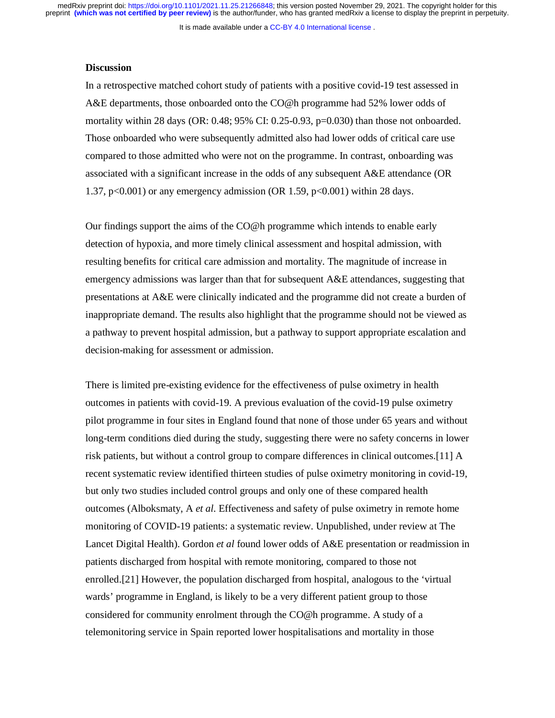It is made available under a [CC-BY 4.0 International license](http://creativecommons.org/licenses/by/4.0/) .

#### **Discussion**

In a retrospective matched cohort study of patients with a positive covid-19 test assessed in A&E departments, those onboarded onto the CO@h programme had 52% lower odds of mortality within 28 days (OR: 0.48; 95% CI: 0.25-0.93, p=0.030) than those not onboarded. Those onboarded who were subsequently admitted also had lower odds of critical care use compared to those admitted who were not on the programme. In contrast, onboarding was associated with a significant increase in the odds of any subsequent A&E attendance (OR 1.37, p<0.001) or any emergency admission (OR 1.59, p<0.001) within 28 days.

Our findings support the aims of the CO@h programme which intends to enable early detection of hypoxia, and more timely clinical assessment and hospital admission, with resulting benefits for critical care admission and mortality. The magnitude of increase in emergency admissions was larger than that for subsequent A&E attendances, suggesting that presentations at A&E were clinically indicated and the programme did not create a burden of inappropriate demand. The results also highlight that the programme should not be viewed as a pathway to prevent hospital admission, but a pathway to support appropriate escalation and decision-making for assessment or admission.

There is limited pre-existing evidence for the effectiveness of pulse oximetry in health outcomes in patients with covid-19. A previous evaluation of the covid-19 pulse oximetry pilot programme in four sites in England found that none of those under 65 years and without long-term conditions died during the study, suggesting there were no safety concerns in lower risk patients, but without a control group to compare differences in clinical outcomes.[11] A recent systematic review identified thirteen studies of pulse oximetry monitoring in covid-19, but only two studies included control groups and only one of these compared health outcomes (Alboksmaty, A *et al.* Effectiveness and safety of pulse oximetry in remote home monitoring of COVID-19 patients: a systematic review. Unpublished, under review at The Lancet Digital Health). Gordon *et al* found lower odds of A&E presentation or readmission in patients discharged from hospital with remote monitoring, compared to those not enrolled.[21] However, the population discharged from hospital, analogous to the 'virtual wards' programme in England, is likely to be a very different patient group to those considered for community enrolment through the CO@h programme. A study of a telemonitoring service in Spain reported lower hospitalisations and mortality in those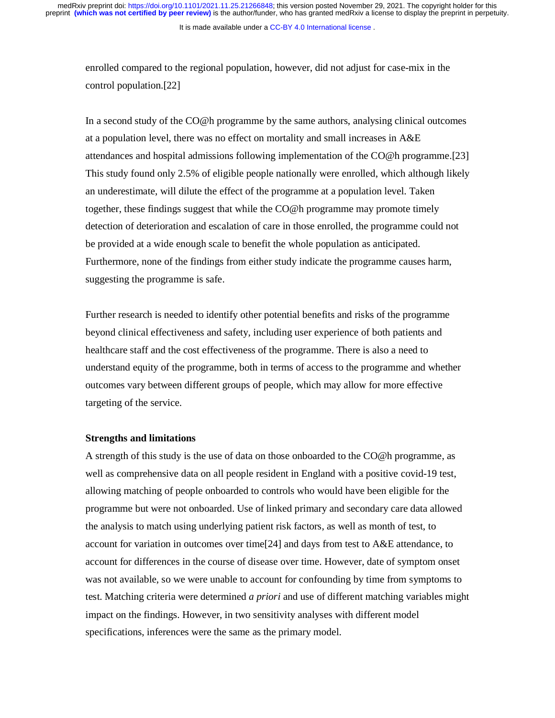It is made available under a CC-BY 4.0 International license.

enrolled compared to the regional population, however, did not adjust for case-mix in the control population.[22]

In a second study of the CO@h programme by the same authors, analysing clinical outcomes at a population level, there was no effect on mortality and small increases in A&E attendances and hospital admissions following implementation of the CO@h programme.[23] This study found only 2.5% of eligible people nationally were enrolled, which although likely an underestimate, will dilute the effect of the programme at a population level. Taken together, these findings suggest that while the CO@h programme may promote timely detection of deterioration and escalation of care in those enrolled, the programme could not be provided at a wide enough scale to benefit the whole population as anticipated. Furthermore, none of the findings from either study indicate the programme causes harm, suggesting the programme is safe.

Further research is needed to identify other potential benefits and risks of the programme beyond clinical effectiveness and safety, including user experience of both patients and healthcare staff and the cost effectiveness of the programme. There is also a need to understand equity of the programme, both in terms of access to the programme and whether outcomes vary between different groups of people, which may allow for more effective targeting of the service.

## **Strengths and limitations**

A strength of this study is the use of data on those onboarded to the CO@h programme, as well as comprehensive data on all people resident in England with a positive covid-19 test, allowing matching of people onboarded to controls who would have been eligible for the programme but were not onboarded. Use of linked primary and secondary care data allowed the analysis to match using underlying patient risk factors, as well as month of test, to account for variation in outcomes over time[24] and days from test to A&E attendance, to account for differences in the course of disease over time. However, date of symptom onset was not available, so we were unable to account for confounding by time from symptoms to test. Matching criteria were determined *a priori* and use of different matching variables might impact on the findings. However, in two sensitivity analyses with different model specifications, inferences were the same as the primary model.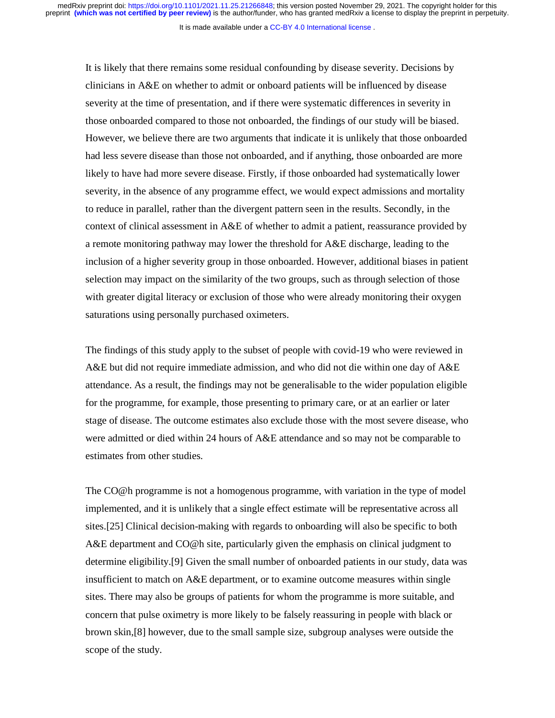It is made available under a [CC-BY 4.0 International license](http://creativecommons.org/licenses/by/4.0/) .

It is likely that there remains some residual confounding by disease severity. Decisions by clinicians in A&E on whether to admit or onboard patients will be influenced by disease severity at the time of presentation, and if there were systematic differences in severity in those onboarded compared to those not onboarded, the findings of our study will be biased. However, we believe there are two arguments that indicate it is unlikely that those onboarded had less severe disease than those not onboarded, and if anything, those onboarded are more likely to have had more severe disease. Firstly, if those onboarded had systematically lower severity, in the absence of any programme effect, we would expect admissions and mortality to reduce in parallel, rather than the divergent pattern seen in the results. Secondly, in the context of clinical assessment in A&E of whether to admit a patient, reassurance provided by a remote monitoring pathway may lower the threshold for A&E discharge, leading to the inclusion of a higher severity group in those onboarded. However, additional biases in patient selection may impact on the similarity of the two groups, such as through selection of those with greater digital literacy or exclusion of those who were already monitoring their oxygen saturations using personally purchased oximeters.

The findings of this study apply to the subset of people with covid-19 who were reviewed in A&E but did not require immediate admission, and who did not die within one day of A&E attendance. As a result, the findings may not be generalisable to the wider population eligible for the programme, for example, those presenting to primary care, or at an earlier or later stage of disease. The outcome estimates also exclude those with the most severe disease, who were admitted or died within 24 hours of A&E attendance and so may not be comparable to estimates from other studies.

The CO@h programme is not a homogenous programme, with variation in the type of model implemented, and it is unlikely that a single effect estimate will be representative across all sites.[25] Clinical decision-making with regards to onboarding will also be specific to both A&E department and CO@h site, particularly given the emphasis on clinical judgment to determine eligibility.[9] Given the small number of onboarded patients in our study, data was insufficient to match on A&E department, or to examine outcome measures within single sites. There may also be groups of patients for whom the programme is more suitable, and concern that pulse oximetry is more likely to be falsely reassuring in people with black or brown skin,[8] however, due to the small sample size, subgroup analyses were outside the scope of the study.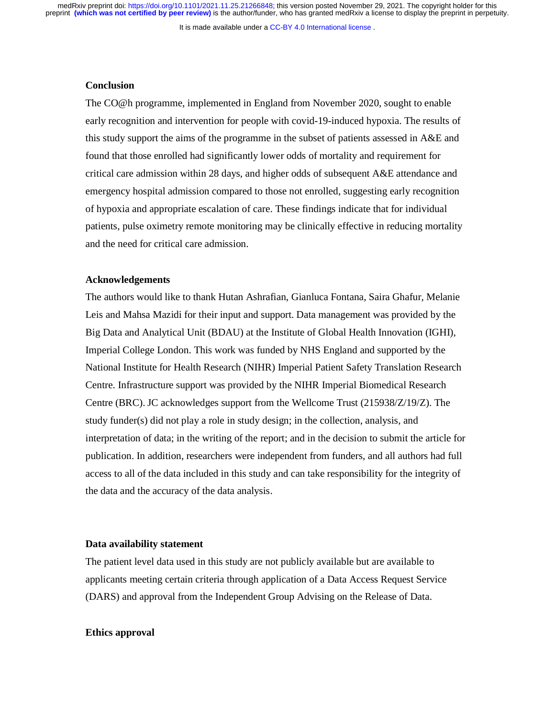It is made available under a [CC-BY 4.0 International license](http://creativecommons.org/licenses/by/4.0/) .

#### **Conclusion**

The CO@h programme, implemented in England from November 2020, sought to enable early recognition and intervention for people with covid-19-induced hypoxia. The results of this study support the aims of the programme in the subset of patients assessed in A&E and found that those enrolled had significantly lower odds of mortality and requirement for critical care admission within 28 days, and higher odds of subsequent A&E attendance and emergency hospital admission compared to those not enrolled, suggesting early recognition of hypoxia and appropriate escalation of care. These findings indicate that for individual patients, pulse oximetry remote monitoring may be clinically effective in reducing mortality and the need for critical care admission.

## **Acknowledgements**

The authors would like to thank Hutan Ashrafian, Gianluca Fontana, Saira Ghafur, Melanie Leis and Mahsa Mazidi for their input and support. Data management was provided by the Big Data and Analytical Unit (BDAU) at the Institute of Global Health Innovation (IGHI), Imperial College London. This work was funded by NHS England and supported by the National Institute for Health Research (NIHR) Imperial Patient Safety Translation Research Centre. Infrastructure support was provided by the NIHR Imperial Biomedical Research Centre (BRC). JC acknowledges support from the Wellcome Trust (215938/Z/19/Z). The study funder(s) did not play a role in study design; in the collection, analysis, and interpretation of data; in the writing of the report; and in the decision to submit the article for publication. In addition, researchers were independent from funders, and all authors had full access to all of the data included in this study and can take responsibility for the integrity of the data and the accuracy of the data analysis.

### **Data availability statement**

The patient level data used in this study are not publicly available but are available to applicants meeting certain criteria through application of a Data Access Request Service (DARS) and approval from the Independent Group Advising on the Release of Data.

#### **Ethics approval**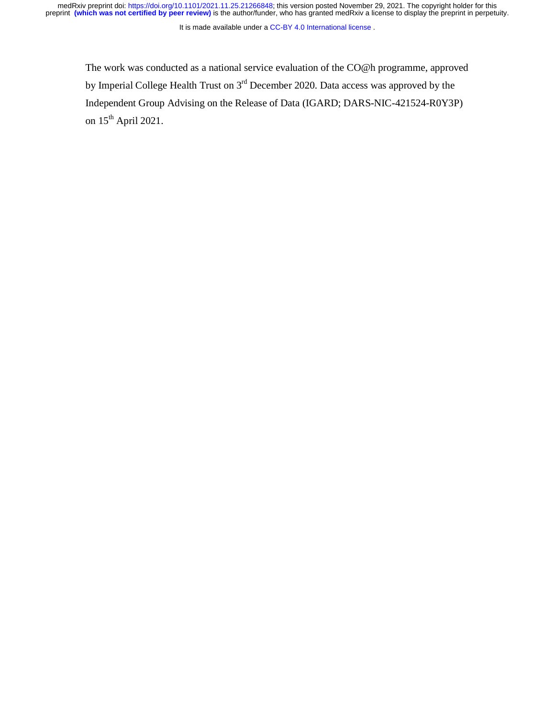It is made available under a CC-BY 4.0 International license.

The work was conducted as a national service evaluation of the CO@h programme, approved by Imperial College Health Trust on 3<sup>rd</sup> December 2020. Data access was approved by the Independent Group Advising on the Release of Data (IGARD; DARS-NIC-421524-R0Y3P) on  $15^{\text{th}}$  April 2021.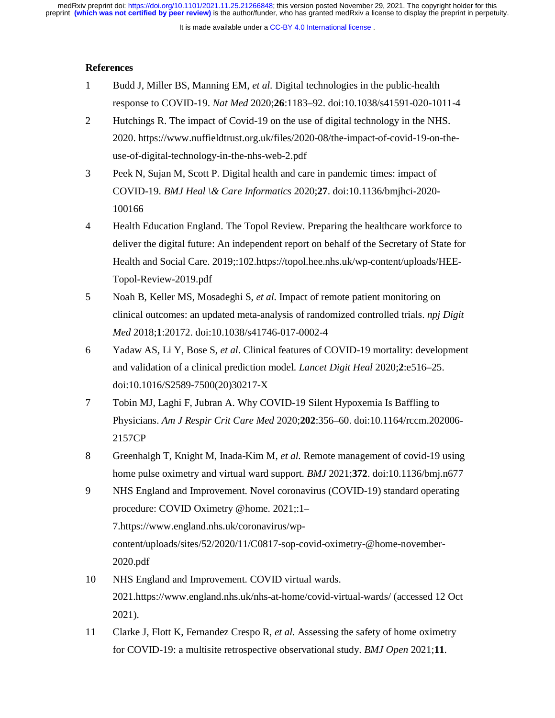It is made available under a [CC-BY 4.0 International license](http://creativecommons.org/licenses/by/4.0/) .

## **References**

- 1 Budd J, Miller BS, Manning EM, *et al.* Digital technologies in the public-health response to COVID-19. *Nat Med* 2020;**26**:1183–92. doi:10.1038/s41591-020-1011-4
- 2 Hutchings R. The impact of Covid-19 on the use of digital technology in the NHS. 2020. https://www.nuffieldtrust.org.uk/files/2020-08/the-impact-of-covid-19-on-theuse-of-digital-technology-in-the-nhs-web-2.pdf
- 3 Peek N, Sujan M, Scott P. Digital health and care in pandemic times: impact of COVID-19. *BMJ Heal \& Care Informatics* 2020;**27**. doi:10.1136/bmjhci-2020- 100166
- 4 Health Education England. The Topol Review. Preparing the healthcare workforce to deliver the digital future: An independent report on behalf of the Secretary of State for Health and Social Care. 2019;:102.https://topol.hee.nhs.uk/wp-content/uploads/HEE-Topol-Review-2019.pdf
- 5 Noah B, Keller MS, Mosadeghi S, *et al.* Impact of remote patient monitoring on clinical outcomes: an updated meta-analysis of randomized controlled trials. *npj Digit Med* 2018;**1**:20172. doi:10.1038/s41746-017-0002-4
- 6 Yadaw AS, Li Y, Bose S, *et al.* Clinical features of COVID-19 mortality: development and validation of a clinical prediction model. *Lancet Digit Heal* 2020;**2**:e516–25. doi:10.1016/S2589-7500(20)30217-X
- 7 Tobin MJ, Laghi F, Jubran A. Why COVID-19 Silent Hypoxemia Is Baffling to Physicians. *Am J Respir Crit Care Med* 2020;**202**:356–60. doi:10.1164/rccm.202006- 2157CP
- 8 Greenhalgh T, Knight M, Inada-Kim M, *et al.* Remote management of covid-19 using home pulse oximetry and virtual ward support. *BMJ* 2021;**372**. doi:10.1136/bmj.n677
- 9 NHS England and Improvement. Novel coronavirus (COVID-19) standard operating procedure: COVID Oximetry @home. 2021;:1– 7.https://www.england.nhs.uk/coronavirus/wpcontent/uploads/sites/52/2020/11/C0817-sop-covid-oximetry-@home-november-2020.pdf
- 10 NHS England and Improvement. COVID virtual wards. 2021.https://www.england.nhs.uk/nhs-at-home/covid-virtual-wards/ (accessed 12 Oct 2021).
- 11 Clarke J, Flott K, Fernandez Crespo R, *et al.* Assessing the safety of home oximetry for COVID-19: a multisite retrospective observational study. *BMJ Open* 2021;**11**.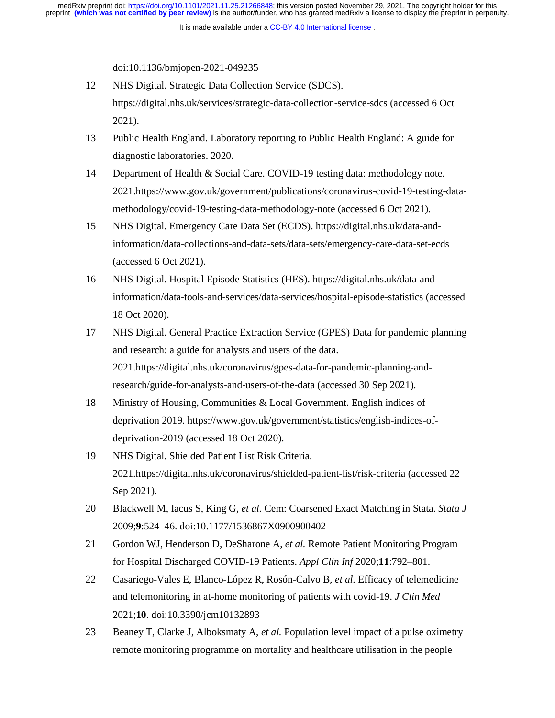It is made available under a [CC-BY 4.0 International license](http://creativecommons.org/licenses/by/4.0/) .

doi:10.1136/bmjopen-2021-049235

- 12 NHS Digital. Strategic Data Collection Service (SDCS). https://digital.nhs.uk/services/strategic-data-collection-service-sdcs (accessed 6 Oct 2021).
- 13 Public Health England. Laboratory reporting to Public Health England: A guide for diagnostic laboratories. 2020.
- 14 Department of Health & Social Care. COVID-19 testing data: methodology note. 2021.https://www.gov.uk/government/publications/coronavirus-covid-19-testing-datamethodology/covid-19-testing-data-methodology-note (accessed 6 Oct 2021).
- 15 NHS Digital. Emergency Care Data Set (ECDS). https://digital.nhs.uk/data-andinformation/data-collections-and-data-sets/data-sets/emergency-care-data-set-ecds (accessed 6 Oct 2021).
- 16 NHS Digital. Hospital Episode Statistics (HES). https://digital.nhs.uk/data-andinformation/data-tools-and-services/data-services/hospital-episode-statistics (accessed 18 Oct 2020).
- 17 NHS Digital. General Practice Extraction Service (GPES) Data for pandemic planning and research: a guide for analysts and users of the data. 2021.https://digital.nhs.uk/coronavirus/gpes-data-for-pandemic-planning-andresearch/guide-for-analysts-and-users-of-the-data (accessed 30 Sep 2021).
- 18 Ministry of Housing, Communities & Local Government. English indices of deprivation 2019. https://www.gov.uk/government/statistics/english-indices-ofdeprivation-2019 (accessed 18 Oct 2020).
- 19 NHS Digital. Shielded Patient List Risk Criteria. 2021.https://digital.nhs.uk/coronavirus/shielded-patient-list/risk-criteria (accessed 22 Sep 2021).
- 20 Blackwell M, Iacus S, King G, *et al.* Cem: Coarsened Exact Matching in Stata. *Stata J* 2009;**9**:524–46. doi:10.1177/1536867X0900900402
- 21 Gordon WJ, Henderson D, DeSharone A, *et al.* Remote Patient Monitoring Program for Hospital Discharged COVID-19 Patients. *Appl Clin Inf* 2020;**11**:792–801.
- 22 Casariego-Vales E, Blanco-López R, Rosón-Calvo B, *et al.* Efficacy of telemedicine and telemonitoring in at-home monitoring of patients with covid-19. *J Clin Med* 2021;**10**. doi:10.3390/jcm10132893
- 23 Beaney T, Clarke J, Alboksmaty A, *et al.* Population level impact of a pulse oximetry remote monitoring programme on mortality and healthcare utilisation in the people